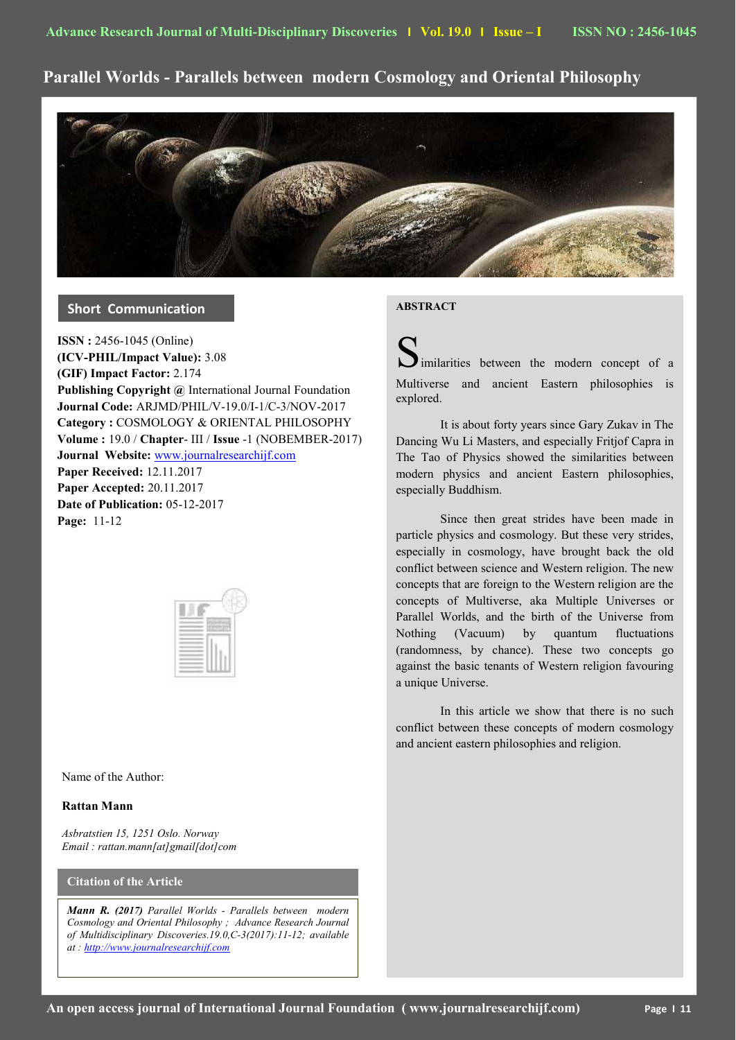# **Parallel Worlds - Parallels between modern Cosmology and Oriental Philosophy**



### **Short Communication**

**ISSN :** 2456-1045 (Online) **(ICV-PHIL/Impact Value):** 3.08 **(GIF) Impact Factor:** 2.174 **Publishing Copyright @** International Journal Foundation **Journal Code:** ARJMD/PHIL/V-19.0/I-1/C-3/NOV-2017 **Category :** COSMOLOGY & ORIENTAL PHILOSOPHY **Volume :** 19.0 / **Chapter**- III / **Issue** -1 (NOBEMBER-2017) **Journal Website:** [www.journalresearchijf.com](http://www.journalresearchijf.com/) **Paper Received:** 12.11.2017 **Paper Accepted:** 20.11.2017 **Date of Publication:** 05-12-2017 **Page:** 11-12

Name of the Author:

### **Rattan Mann**

*Asbratstien 15, 1251 Oslo. Norway Email : rattan.mann[at]gmail[dot]com*

### **Citation of the Article**

*Mann R. (2017) Parallel Worlds - Parallels between modern Cosmology and Oriental Philosophy ; Advance Research Journal of Multidisciplinary Discoveries.19.0,C-3(2017):11-12; available at : [http://www.journalresearchijf.com](http://www.journalresearchijf.com/)*

## **ABSTRACT**

imilarities between the modern concept of a Multiverse and ancient Eastern philosophies is explored.

It is about forty years since Gary Zukav in The Dancing Wu Li Masters, and especially Fritjof Capra in The Tao of Physics showed the similarities between modern physics and ancient Eastern philosophies, especially Buddhism.

Since then great strides have been made in particle physics and cosmology. But these very strides, especially in cosmology, have brought back the old conflict between science and Western religion. The new concepts that are foreign to the Western religion are the concepts of Multiverse, aka Multiple Universes or Parallel Worlds, and the birth of the Universe from Nothing (Vacuum) by quantum fluctuations (randomness, by chance). These two concepts go against the basic tenants of Western religion favouring a unique Universe.

In this article we show that there is no such conflict between these concepts of modern cosmology and ancient eastern philosophies and religion.